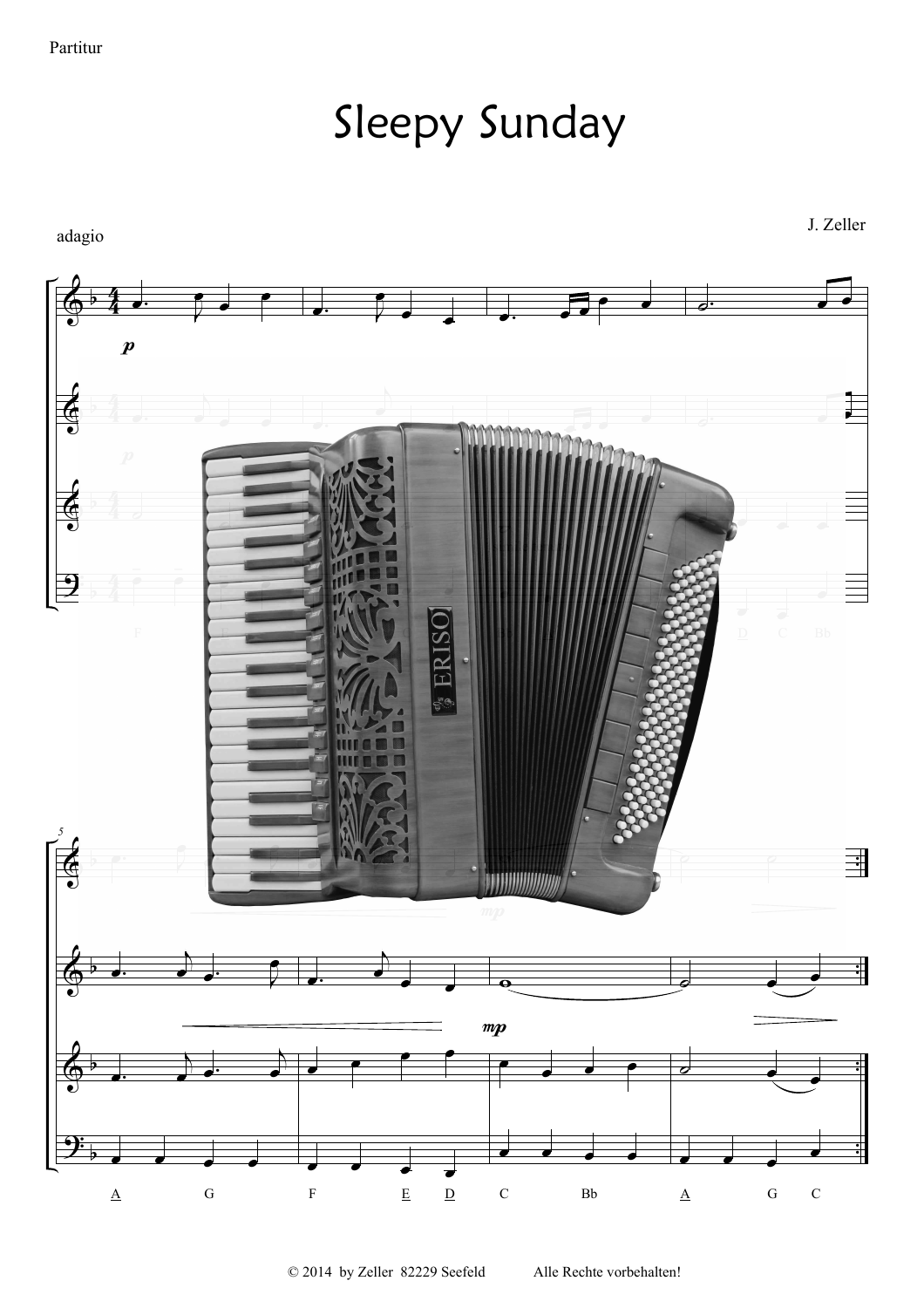Sleepy Sunday